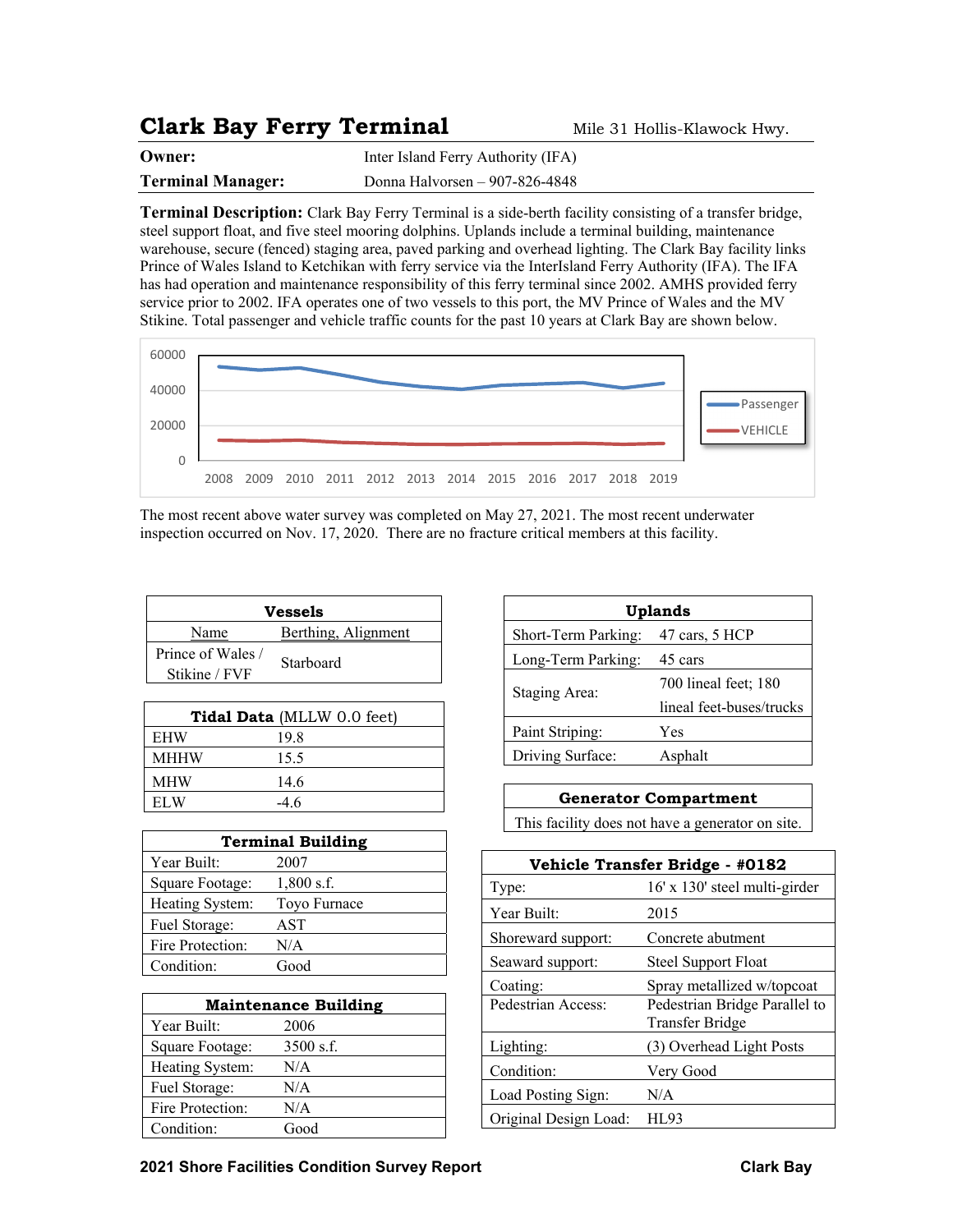## **Clark Bay Ferry Terminal** Mile 31 Hollis-Klawock Hwy.

| Owner:                   | Inter Island Ferry Authority (IFA) |
|--------------------------|------------------------------------|
| <b>Terminal Manager:</b> | Donna Halvorsen – 907-826-4848     |

**Terminal Description:** Clark Bay Ferry Terminal is a side-berth facility consisting of a transfer bridge, steel support float, and five steel mooring dolphins. Uplands include a terminal building, maintenance warehouse, secure (fenced) staging area, paved parking and overhead lighting. The Clark Bay facility links Prince of Wales Island to Ketchikan with ferry service via the InterIsland Ferry Authority (IFA). The IFA has had operation and maintenance responsibility of this ferry terminal since 2002. AMHS provided ferry service prior to 2002. IFA operates one of two vessels to this port, the MV Prince of Wales and the MV Stikine. Total passenger and vehicle traffic counts for the past 10 years at Clark Bay are shown below.



The most recent above water survey was completed on May 27, 2021. The most recent underwater inspection occurred on Nov. 17, 2020. There are no fracture critical members at this facility.

| Vessels           |                     |  |  |  |
|-------------------|---------------------|--|--|--|
| Name              | Berthing, Alignment |  |  |  |
| Prince of Wales / | Starboard           |  |  |  |
| Stikine / FVF     |                     |  |  |  |

| <b>Tidal Data</b> (MLLW 0.0 feet) |        |  |  |
|-----------------------------------|--------|--|--|
| <b>EHW</b>                        | 19.8   |  |  |
| <b>MHHW</b>                       | 15.5   |  |  |
| <b>MHW</b>                        | 14.6   |  |  |
| EL W                              | $-4.6$ |  |  |

| <b>Terminal Building</b> |              |  |  |
|--------------------------|--------------|--|--|
| Year Built:              | 2007         |  |  |
| Square Footage:          | $1,800$ s.f. |  |  |
| Heating System:          | Toyo Furnace |  |  |
| Fuel Storage:            | AST          |  |  |
| Fire Protection:         | N/A          |  |  |
| Condition:               | Good         |  |  |

| <b>Maintenance Building</b> |             |  |  |
|-----------------------------|-------------|--|--|
| Year Built:                 | 2006        |  |  |
| Square Footage:             | $3500$ s.f. |  |  |
| Heating System:             | N/A         |  |  |
| Fuel Storage:               | N/A         |  |  |
| Fire Protection:            | N/A         |  |  |
| Condition:                  | Good        |  |  |

| Uplands             |                          |  |  |
|---------------------|--------------------------|--|--|
| Short-Term Parking: | 47 cars, 5 HCP           |  |  |
| Long-Term Parking:  | 45 cars                  |  |  |
| Staging Area:       | 700 lineal feet; 180     |  |  |
|                     | lineal feet-buses/trucks |  |  |
| Paint Striping:     | Yes                      |  |  |
| Driving Surface:    | Asphalt                  |  |  |

## **Generator Compartment**

This facility does not have a generator on site.

| Vehicle Transfer Bridge - #0182 |                                                         |  |  |  |
|---------------------------------|---------------------------------------------------------|--|--|--|
| Type:                           | 16' x 130' steel multi-girder                           |  |  |  |
| Year Built:                     | 2015                                                    |  |  |  |
| Shoreward support:              | Concrete abutment                                       |  |  |  |
| Seaward support:                | <b>Steel Support Float</b>                              |  |  |  |
| Coating:                        | Spray metallized w/topcoat                              |  |  |  |
| Pedestrian Access:              | Pedestrian Bridge Parallel to<br><b>Transfer Bridge</b> |  |  |  |
| Lighting:                       | (3) Overhead Light Posts                                |  |  |  |
| Condition:                      | Very Good                                               |  |  |  |
| Load Posting Sign:              | N/A                                                     |  |  |  |
| Original Design Load:           | HI 93                                                   |  |  |  |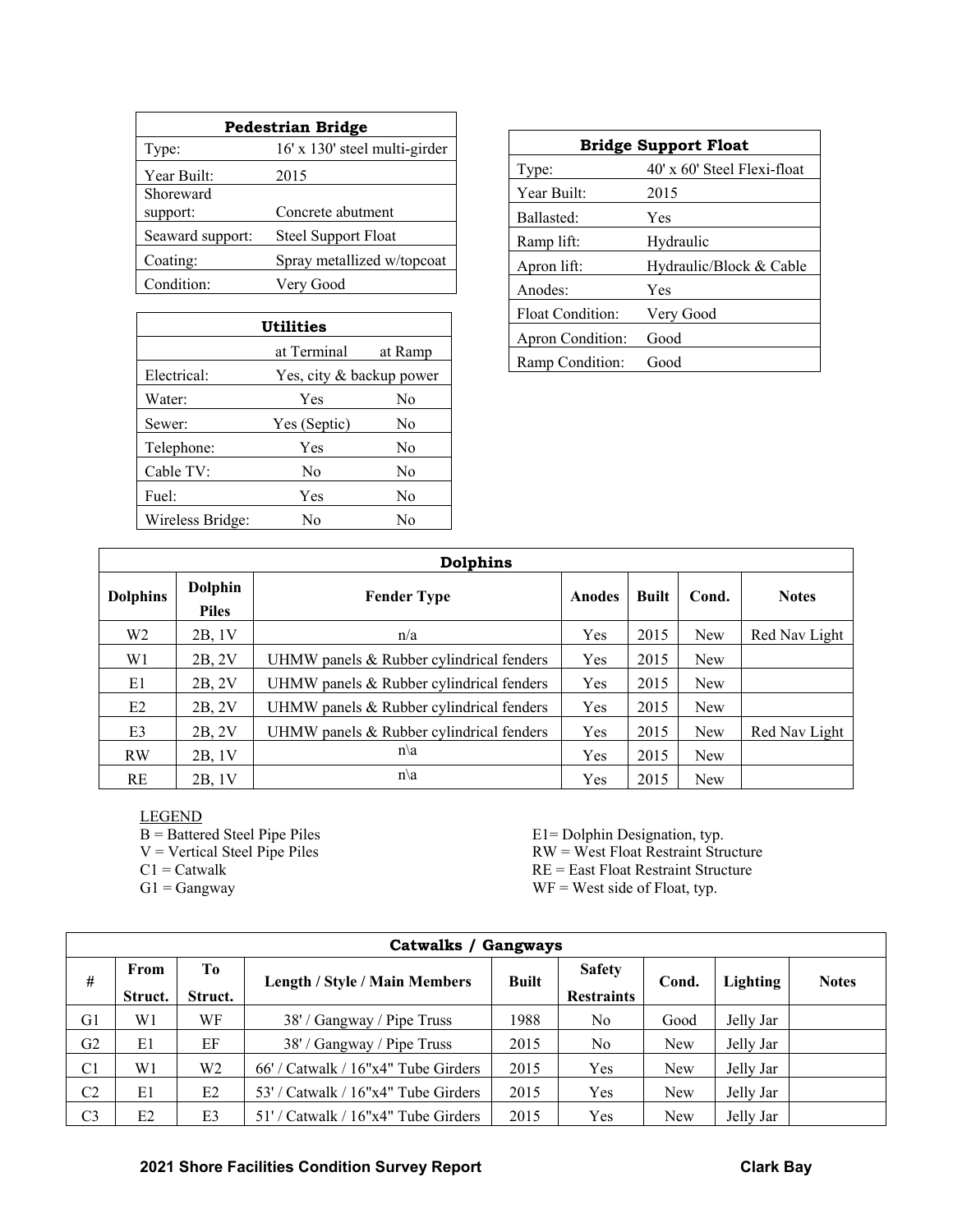| <b>Pedestrian Bridge</b> |                               |  |  |  |
|--------------------------|-------------------------------|--|--|--|
| Type:                    | 16' x 130' steel multi-girder |  |  |  |
| Year Built:              | 2015                          |  |  |  |
| Shoreward                |                               |  |  |  |
| support:                 | Concrete abutment             |  |  |  |
| Seaward support:         | <b>Steel Support Float</b>    |  |  |  |
| Coating:                 | Spray metallized w/topcoat    |  |  |  |
| Condition:               | Very Good                     |  |  |  |

| Utilities              |                          |                |  |  |  |  |
|------------------------|--------------------------|----------------|--|--|--|--|
| at Terminal<br>at Ramp |                          |                |  |  |  |  |
| Electrical:            | Yes, city & backup power |                |  |  |  |  |
| Water:                 | Yes<br>No                |                |  |  |  |  |
| Sewer:                 | Yes (Septic)             | N <sub>0</sub> |  |  |  |  |
| Telephone:             | Yes                      | No             |  |  |  |  |
| Cable TV:              | No                       | No             |  |  |  |  |
| Fuel:                  | Yes                      | No             |  |  |  |  |
| Wireless Bridge:       | Nο                       | Nο             |  |  |  |  |

| <b>Bridge Support Float</b> |                               |  |  |  |
|-----------------------------|-------------------------------|--|--|--|
| Type:                       | $40'$ x 60' Steel Flexi-float |  |  |  |
| Year Built:                 | 2015                          |  |  |  |
| Ballasted:                  | Yes                           |  |  |  |
| Ramp lift:                  | Hydraulic                     |  |  |  |
| Apron lift:                 | Hydraulic/Block & Cable       |  |  |  |
| Anodes:                     | Yes                           |  |  |  |
| <b>Float Condition:</b>     | Very Good                     |  |  |  |
| Apron Condition:            | Good                          |  |  |  |
| Ramp Condition:             | Good                          |  |  |  |

| <b>Dolphins</b> |                                |                                          |               |              |            |               |
|-----------------|--------------------------------|------------------------------------------|---------------|--------------|------------|---------------|
| <b>Dolphins</b> | <b>Dolphin</b><br><b>Piles</b> | <b>Fender Type</b>                       | <b>Anodes</b> | <b>Built</b> | Cond.      | <b>Notes</b>  |
| W <sub>2</sub>  | 2B, 1V                         | n/a                                      | Yes           | 2015         | New        | Red Nav Light |
| W1              | 2B, 2V                         | UHMW panels & Rubber cylindrical fenders | Yes           | 2015         | <b>New</b> |               |
| E1              | 2B, 2V                         | UHMW panels & Rubber cylindrical fenders | Yes           | 2015         | <b>New</b> |               |
| E2              | 2B, 2V                         | UHMW panels & Rubber cylindrical fenders | Yes           | 2015         | New        |               |
| E3              | 2B, 2V                         | UHMW panels & Rubber cylindrical fenders | Yes           | 2015         | New        | Red Nav Light |
| RW              | 2B, 1V                         | $n\backslash a$                          | Yes           | 2015         | New        |               |
| RE              | 2B, 1V                         | $n\backslash a$                          | Yes           | 2015         | New        |               |

LEGEND

B = Battered Steel Pipe Piles E1= Dolphin Designation, typ.<br>
V = Vertical Steel Pipe Piles RW = West Float Restraint Stru

- 
- 

 $V = V$ ertical Steel Pipe Piles RW = West Float Restraint Structure<br>  $CL = C$ atwalk RE = East Float Restraint Structure

 $RE = East Float Restraint Structure$ 

 $G1 =$  Gangway WF = West side of Float, typ.

|                | Catwalks / Gangways |                |                                           |              |                                    |       |                 |              |
|----------------|---------------------|----------------|-------------------------------------------|--------------|------------------------------------|-------|-----------------|--------------|
| #              | From<br>Struct.     | Tо<br>Struct.  | <b>Length / Style / Main Members</b>      | <b>Built</b> | <b>Safety</b><br><b>Restraints</b> | Cond. | <b>Lighting</b> | <b>Notes</b> |
| G1             | W1                  | WF             | 38' / Gangway / Pipe Truss                | 1988         | N <sub>o</sub>                     | Good  | Jelly Jar       |              |
| G2             | E1                  | EF             | 38' / Gangway / Pipe Truss                | 2015         | N <sub>o</sub>                     | New   | Jelly Jar       |              |
| C <sub>1</sub> | W1                  | W2             | $66'$ / Catwalk / $16''x4''$ Tube Girders | 2015         | Yes                                | New   | Jelly Jar       |              |
| C <sub>2</sub> | E1                  | E2             | 53' / Catwalk / 16"x4" Tube Girders       | 2015         | Yes                                | New   | Jelly Jar       |              |
| C3             | E2                  | E <sub>3</sub> | 51' / Catwalk / 16"x4" Tube Girders       | 2015         | Yes                                | New   | Jelly Jar       |              |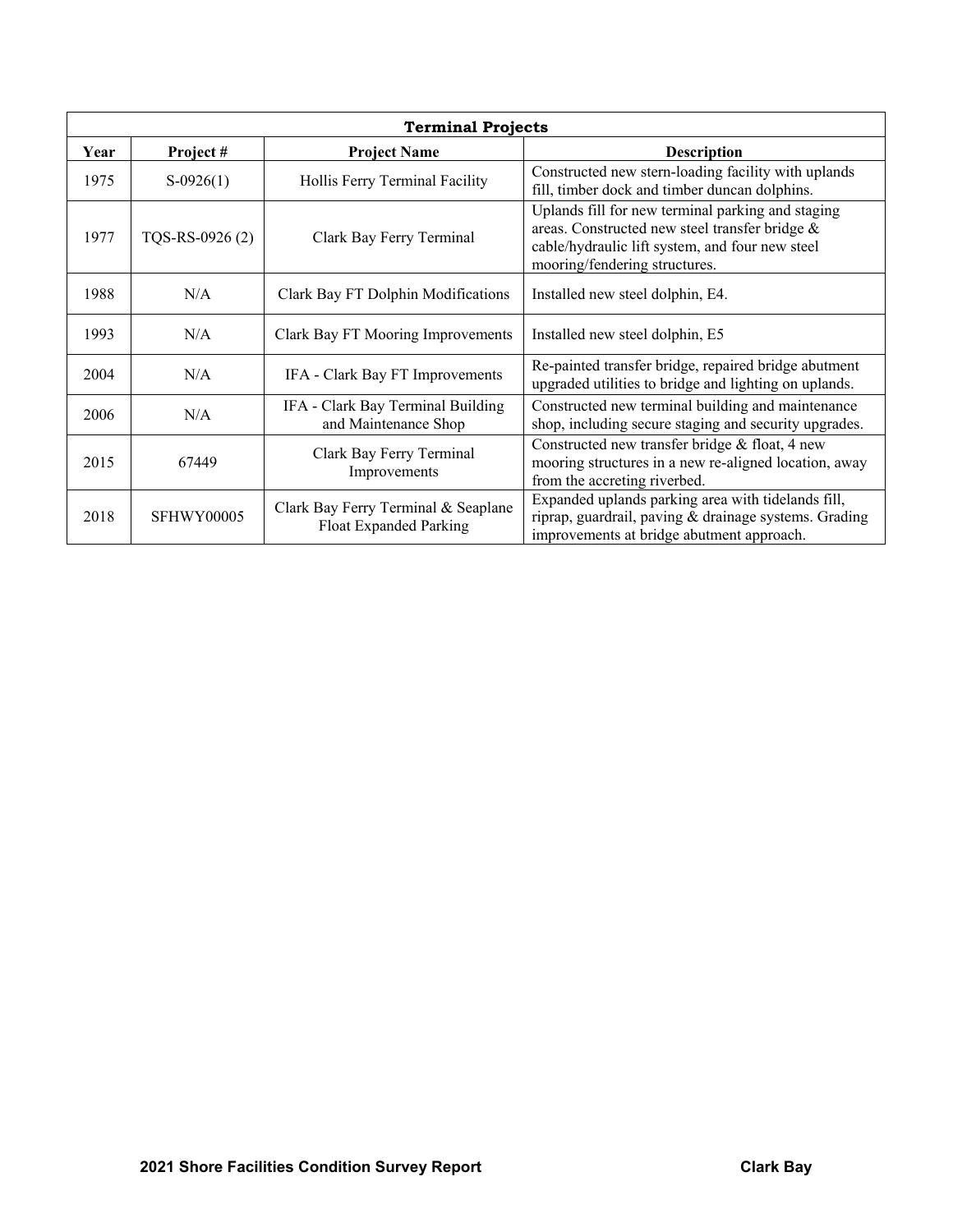| <b>Terminal Projects</b> |                 |                                                               |                                                                                                                                                                                         |  |  |
|--------------------------|-----------------|---------------------------------------------------------------|-----------------------------------------------------------------------------------------------------------------------------------------------------------------------------------------|--|--|
| Year                     | Project#        | <b>Project Name</b>                                           | <b>Description</b>                                                                                                                                                                      |  |  |
| 1975                     | $S-0926(1)$     | Hollis Ferry Terminal Facility                                | Constructed new stern-loading facility with uplands<br>fill, timber dock and timber duncan dolphins.                                                                                    |  |  |
| 1977                     | TQS-RS-0926 (2) | Clark Bay Ferry Terminal                                      | Uplands fill for new terminal parking and staging<br>areas. Constructed new steel transfer bridge &<br>cable/hydraulic lift system, and four new steel<br>mooring/fendering structures. |  |  |
| 1988                     | N/A             | Clark Bay FT Dolphin Modifications                            | Installed new steel dolphin, E4.                                                                                                                                                        |  |  |
| 1993                     | N/A             | Clark Bay FT Mooring Improvements                             | Installed new steel dolphin, E5                                                                                                                                                         |  |  |
| 2004                     | N/A             | IFA - Clark Bay FT Improvements                               | Re-painted transfer bridge, repaired bridge abutment<br>upgraded utilities to bridge and lighting on uplands.                                                                           |  |  |
| 2006                     | N/A             | IFA - Clark Bay Terminal Building<br>and Maintenance Shop     | Constructed new terminal building and maintenance<br>shop, including secure staging and security upgrades.                                                                              |  |  |
| 2015                     | 67449           | Clark Bay Ferry Terminal<br>Improvements                      | Constructed new transfer bridge & float, 4 new<br>mooring structures in a new re-aligned location, away<br>from the accreting riverbed.                                                 |  |  |
| 2018                     | SFHWY00005      | Clark Bay Ferry Terminal & Seaplane<br>Float Expanded Parking | Expanded uplands parking area with tidelands fill,<br>riprap, guardrail, paving & drainage systems. Grading<br>improvements at bridge abutment approach.                                |  |  |